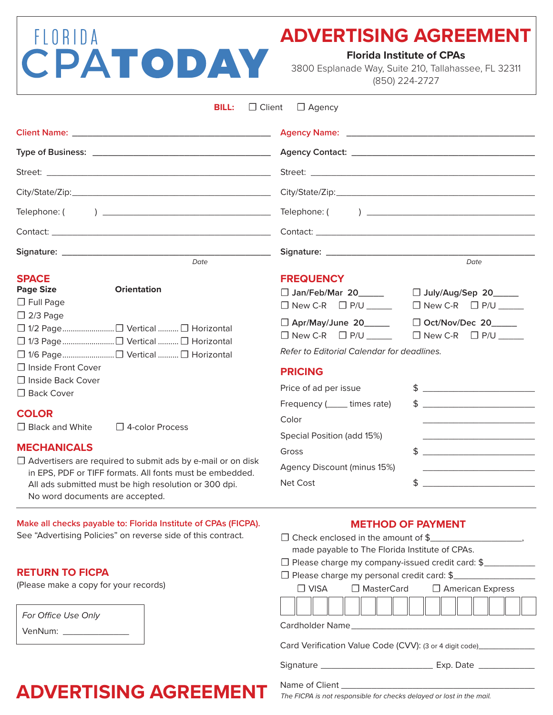## FLORIDA CPATODAY

### **ADVERTISING AGREEMENT**

**Florida Institute of CPAs**

3800 Esplanade Way, Suite 210, Tallahassee, FL 32311 (850) 224-2727

|                                                                                          | $\Box$ Client<br><b>BILL:</b> | $\Box$ Agency                                                                                                    |                                                                                                                                                                                                                                                                                                                                       |
|------------------------------------------------------------------------------------------|-------------------------------|------------------------------------------------------------------------------------------------------------------|---------------------------------------------------------------------------------------------------------------------------------------------------------------------------------------------------------------------------------------------------------------------------------------------------------------------------------------|
|                                                                                          |                               |                                                                                                                  |                                                                                                                                                                                                                                                                                                                                       |
|                                                                                          |                               |                                                                                                                  |                                                                                                                                                                                                                                                                                                                                       |
|                                                                                          |                               |                                                                                                                  |                                                                                                                                                                                                                                                                                                                                       |
|                                                                                          |                               |                                                                                                                  |                                                                                                                                                                                                                                                                                                                                       |
|                                                                                          |                               |                                                                                                                  |                                                                                                                                                                                                                                                                                                                                       |
|                                                                                          |                               |                                                                                                                  |                                                                                                                                                                                                                                                                                                                                       |
|                                                                                          |                               |                                                                                                                  |                                                                                                                                                                                                                                                                                                                                       |
|                                                                                          | Date                          |                                                                                                                  | Date                                                                                                                                                                                                                                                                                                                                  |
| <b>SPACE</b><br><b>Page Size</b><br>$\Box$ Full Page<br>$\Box$ 2/3 Page                  | <b>Orientation</b>            | <b>FREQUENCY</b><br>□ Jan/Feb/Mar 20______ □ July/Aug/Sep 20_____<br>□ Apr/May/June 20_____ □ Oct/Nov/Dec 20____ | $\Box$ New C-R $\Box$ P/U $\Box$ New C-R $\Box$ P/U $\Box$                                                                                                                                                                                                                                                                            |
|                                                                                          |                               |                                                                                                                  | $\Box$ New C-R $\Box$ P/U $\Box$ $\Box$ New C-R $\Box$ P/U $\Box$                                                                                                                                                                                                                                                                     |
|                                                                                          |                               | Refer to Editorial Calendar for deadlines.                                                                       |                                                                                                                                                                                                                                                                                                                                       |
| $\Box$ Inside Front Cover<br>□ Inside Back Cover<br>$\Box$ Back Cover                    |                               | <b>PRICING</b><br>Price of ad per issue<br>Frequency (______ times rate)                                         | $\updownarrow$<br>$\frac{1}{2}$ $\frac{1}{2}$ $\frac{1}{2}$ $\frac{1}{2}$ $\frac{1}{2}$ $\frac{1}{2}$ $\frac{1}{2}$ $\frac{1}{2}$ $\frac{1}{2}$ $\frac{1}{2}$ $\frac{1}{2}$ $\frac{1}{2}$ $\frac{1}{2}$ $\frac{1}{2}$ $\frac{1}{2}$ $\frac{1}{2}$ $\frac{1}{2}$ $\frac{1}{2}$ $\frac{1}{2}$ $\frac{1}{2}$ $\frac{1}{2}$ $\frac{1}{2}$ |
| <b>COLOR</b>                                                                             |                               |                                                                                                                  |                                                                                                                                                                                                                                                                                                                                       |
| $\Box$ Black and White                                                                   | 4-color Process               | Color                                                                                                            |                                                                                                                                                                                                                                                                                                                                       |
| <b>MECHANICALS</b><br>$\Box$ Advertisers are required to submit ads by e-mail or on disk |                               | Special Position (add 15%)<br>Gross                                                                              | <u> 1980 - Johann John Stone, mars eta biztanleria (</u><br>$\updownarrow$                                                                                                                                                                                                                                                            |
| in EPS, PDF or TIFF formats. All fonts must be embedded.                                 |                               | Agency Discount (minus 15%)                                                                                      | <u> 1989 - Johann Barbara, martin amerikan basal dan berasal dalam basal dalam basal dalam basal dalam basal dala</u>                                                                                                                                                                                                                 |
| All ads submitted must be high resolution or 300 dpi.                                    |                               | Net Cost                                                                                                         | $\frac{1}{2}$ $\frac{1}{2}$ $\frac{1}{2}$ $\frac{1}{2}$ $\frac{1}{2}$ $\frac{1}{2}$ $\frac{1}{2}$ $\frac{1}{2}$ $\frac{1}{2}$ $\frac{1}{2}$ $\frac{1}{2}$ $\frac{1}{2}$ $\frac{1}{2}$ $\frac{1}{2}$ $\frac{1}{2}$ $\frac{1}{2}$ $\frac{1}{2}$ $\frac{1}{2}$ $\frac{1}{2}$ $\frac{1}{2}$ $\frac{1}{2}$ $\frac{1}{2}$                   |

**Make all checks payable to: Florida Institute of CPAs (FICPA).**  See "Advertising Policies" on reverse side of this contract.

#### **RETURN TO FICPA**

(Please make a copy for your records)

No word documents are accepted.

| For Office Use Only |  |
|---------------------|--|
| VenNum:             |  |

**METHOD OF PAYMENT**

| made payable to The Florida Institute of CPAs.                                                                                                                                                                                 |  |  |  |
|--------------------------------------------------------------------------------------------------------------------------------------------------------------------------------------------------------------------------------|--|--|--|
| $\Box$ Please charge my company-issued credit card: \$                                                                                                                                                                         |  |  |  |
| □ Please charge my personal credit card: \$                                                                                                                                                                                    |  |  |  |
| $\Box$ VISA $\Box$ MasterCard $\Box$ American Express                                                                                                                                                                          |  |  |  |
|                                                                                                                                                                                                                                |  |  |  |
| Cardholder Name and the control of the control of the control of the control of the control of the control of the control of the control of the control of the control of the control of the control of the control of the con |  |  |  |
| Card Verification Value Code (CVV): (3 or 4 digit code) ________________________                                                                                                                                               |  |  |  |
|                                                                                                                                                                                                                                |  |  |  |
|                                                                                                                                                                                                                                |  |  |  |

## **ADVERTISING AGREEMENT**

*The FICPA is not responsible for checks delayed or lost in the mail.*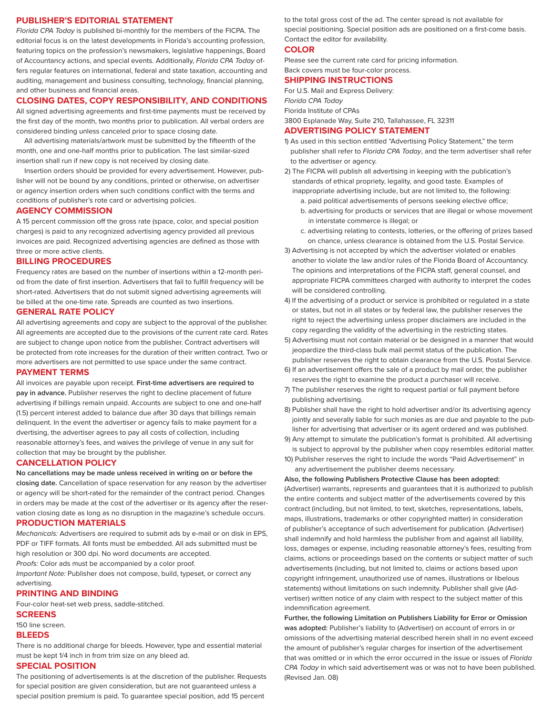#### **PUBLISHER'S EDITORIAL STATEMENT**

*Florida CPA Today* is published bi-monthly for the members of the FICPA. The editorial focus is on the latest developments in Florida's accounting profession, featuring topics on the profession's newsmakers, legislative happenings, Board of Accountancy actions, and special events. Additionally, *Florida CPA Today* offers regular features on international, federal and state taxation, accounting and auditing, management and business consulting, technology, financial planning, and other business and financial areas.

#### **CLOSING DATES, COPY RESPONSIBILITY, AND CONDITIONS**

All signed advertising agreements and first-time payments must be received by the first day of the month, two months prior to publication. All verbal orders are considered binding unless canceled prior to space closing date.

All advertising materials/artwork must be submitted by the fifteenth of the month, one and one-half months prior to publication. The last similar-sized insertion shall run if new copy is not received by closing date.

Insertion orders should be provided for every advertisement. However, publisher will not be bound by any conditions, printed or otherwise, on advertiser or agency insertion orders when such conditions conflict with the terms and conditions of publisher's rote card or advertising policies.

#### **AGENCY COMMISSION**

A 15 percent commission off the gross rate (space, color, and special position charges) is paid to any recognized advertising agency provided all previous invoices are paid. Recognized advertising agencies are defined as those with three or more active clients.

#### **BILLING PROCEDURES**

Frequency rates are based on the number of insertions within a 12-month period from the date of first insertion. Advertisers that fail to fulfill frequency will be short-rated. Advertisers that do not submit signed advertising agreements will be billed at the one-time rate. Spreads are counted as two insertions.

#### **GENERAL RATE POLICY**

All advertising agreements and copy are subject to the approval of the publisher. All agreements are accepted due to the provisions of the current rate card. Rates are subject to change upon notice from the publisher. Contract advertisers will be protected from rote increases for the duration of their written contract. Two or more advertisers are not permitted to use space under the same contract.

#### **PAYMENT TERMS**

All invoices are payable upon receipt. **First-time advertisers are required to pay in advance.** Publisher reserves the right to decline placement of future advertising if billings remain unpaid. Accounts are subject to one and one-half (1.5) percent interest added to balance due after 30 days that billings remain delinquent. In the event the advertiser or agency fails to make payment for a dvertising, the advertiser agrees to pay all costs of collection, including reasonable attorney's fees, and waives the privilege of venue in any suit for collection that may be brought by the publisher.

#### **CANCELLATION POLICY**

**No cancellations may be made unless received in writing on or before the closing date.** Cancellation of space reservation for any reason by the advertiser or agency will be short-rated for the remainder of the contract period. Changes in orders may be made at the cost of the advertiser or its agency after the reservation closing date as long as no disruption in the magazine's schedule occurs. **PRODUCTION MATERIALS**

*Mechanicals:* Advertisers are required to submit ads by e-mail or on disk in EPS, PDF or TIFF formats. All fonts must be embedded. All ads submitted must be

high resolution or 300 dpi. No word documents are accepted.

*Proofs:* Color ads must be accompanied by a color proof.

*Important Note:* Publisher does not compose, build, typeset, or correct any advertising.

#### **PRINTING AND BINDING**

Four-color heat-set web press, saddle-stitched.

#### **SCREENS**

#### 150 line screen.

#### **BLEEDS**

There is no additional charge for bleeds. However, type and essential material must be kept 1/4 inch in from trim size on any bleed ad.

#### **SPECIAL POSITION**

The positioning of advertisements is at the discretion of the publisher. Requests for special position are given consideration, but are not guaranteed unless a special position premium is paid. To guarantee special position, add 15 percent

to the total gross cost of the ad. The center spread is not available for special positioning. Special position ads are positioned on a first-come basis. Contact the editor for availability.

#### **COLOR**

Please see the current rate card for pricing information. Back covers must be four-color process.

#### **SHIPPING INSTRUCTIONS**

For U.S. Mail and Express Delivery: *Florida CPA Today* Florida Institute of CPAs

3800 Esplanade Way, Suite 210, Tallahassee, FL 32311

#### **ADVERTISING POLICY STATEMENT**

- 1) As used in this section entitled "Advertising Policy Statement," the term publisher shall refer to *Florida CPA Today*, and the term advertiser shall refer to the advertiser or agency.
- 2) The FICPA will publish all advertising in keeping with the publication's standards of ethical propriety, legality, and good taste. Examples of inappropriate advertising include, but are not limited to, the following:
	- a. paid political advertisements of persons seeking elective office; b. advertising for products or services that are illegal or whose movement
	- in interstate commerce is illegal; or
	- c. advertising relating to contests, lotteries, or the offering of prizes based on chance, unless clearance is obtained from the U.S. Postal Service.
- 3) Advertising is not accepted by which the advertiser violated or enables another to violate the law and/or rules of the Florida Board of Accountancy. The opinions and interpretations of the FICPA staff, general counsel, and appropriate FICPA committees charged with authority to interpret the codes will be considered controlling.
- 4) If the advertising of a product or service is prohibited or regulated in a state or states, but not in all states or by federal law, the publisher reserves the right to reject the advertising unless proper disclaimers are included in the copy regarding the validity of the advertising in the restricting states.
- 5) Advertising must not contain material or be designed in a manner that would jeopardize the third-class bulk mail permit status of the publication. The publisher reserves the right to obtain clearance from the U.S. Postal Service.
- 6) If an advertisement offers the sale of a product by mail order, the publisher reserves the right to examine the product a purchaser will receive.
- 7) The publisher reserves the right to request partial or full payment before publishing advertising.
- 8) Publisher shall have the right to hold advertiser and/or its advertising agency jointly and severally liable for such monies as are due and payable to the publisher for advertising that advertiser or its agent ordered and was published.
- 9) Any attempt to simulate the publication's format is prohibited. All advertising is subject to approval by the publisher when copy resembles editorial matter.
- 10) Publisher reserves the right to include the words "Paid Advertisement" in any advertisement the publisher deems necessary.

#### **Also, the following Publishers Protective Clause has been adopted:**

(Advertiser) warrants, represents and guarantees that it is authorized to publish the entire contents and subject matter of the advertisements covered by this contract (including, but not limited, to text, sketches, representations, labels, maps, illustrations, trademarks or other copyrighted matter) in consideration of publisher's acceptance of such advertisement for publication. (Advertiser) shall indemnify and hold harmless the publisher from and against all liability, loss, damages or expense, including reasonable attorney's fees, resulting from claims, actions or proceedings based on the contents or subject matter of such advertisements (including, but not limited to, claims or actions based upon copyright infringement, unauthorized use of names, illustrations or libelous statements) without limitations on such indemnity. Publisher shall give (Advertiser) written notice of any claim with respect to the subject matter of this indemnification agreement.

**Further, the following Limitation on Publishers Liability for Error or Omission was adopted:** Publisher's liability to (Advertiser) on account of errors in or omissions of the advertising material described herein shall in no event exceed the amount of publisher's regular charges for insertion of the advertisement that was omitted or in which the error occurred in the issue or issues of *Florida CPA Today* in which said advertisement was or was not to have been published. (Revised Jan. 08)